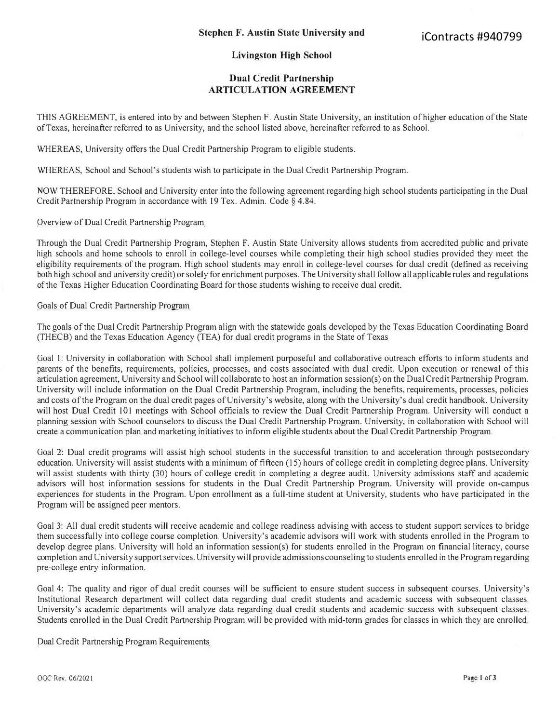## **Livingston High School**

## **Dual Credit Partnership ARTICULATION AGREEMENT**

THIS AGREEMENT, is entered into by and between Stephen F. Austin State University, an institution of higher education of the State of Texas, hereinafter referred to as University, and the school listed above, hereinafter referred to as School.

WHEREAS, University offers the Dual Credit Partnership Program to eligible students.

WHEREAS, School and School's students wish to participate in the Dual Credit Partnership Program.

NOW THEREFORE, School and University enter into the following agreement regarding high school students participating in the Dual Credit Partnership Program in accordance with 19 Tex. Admin. Code § 4.84.

Overview of Dual Credit Partnership Program

Through the Dual Credit Partnership Program, Stephen F. Austin State University allows students from accredited public and private high schools and home schools to enroll in college-level courses while completing their high school studies provided they meet the eligibility requirements of the program. High school students may enroll in college-level courses for dual credit (defined as receiving both high school and university credit) or solely for enrichment purposes. The University shall follow all applicable rules and regulations of the Texas Higher Education Coordinating Board for those students wishing to receive dual credit.

## Goals of Dual Credit Partnership Program

The goals of the Dual Credit Partnership Program align with the statewide goals developed by the Texas Education Coordinating Board (THECB) and the Texas Education Agency (TEA) for dual credit programs in the State of Texas

Goal I: University in collaboration with School shall implement purposeful and collaborative outreach efforts to inform students and parents of the benefits, requirements, policies, processes, and costs associated with dual credit. Upon execution or renewal of this articulation agreement, University and School will collaborate to host an information session(s) on the Dual Credit Partnership Program. University will include information on the Dual Credit Partnership Program, including the benefits, requirements, processes, policies and costs of the Program on the dual credit pages of University's website, along with the University's dual credit handbook. University will host Dual Credit 101 meetings with School officials to review the Dual Credit Partnership Program. University will conduct a planning session with School counselors to discuss the Dual Credit Partnership Program. University, in collaboration with School will create a communication plan and marketing initiatives to inform eligible students about the Dual Credit Partnership Program.

Goal 2: Dual credit programs will assist high school students in the successful transition to and acceleration through postsecondary education. University will assist students with a minimum of fifteen (15) hours of college credit in completing degree plans. University will assist students with thirty (30) hours of college credit in completing a degree audit. University admissions staff and academic advisors will host information sessions for students in the Dual Credit Partnership Program. University will provide on-campus experiences for students in the Program. Upon enrollment as a full-time student at University, students who have participated in the Program will be assigned peer mentors.

Goal 3: All dual credit students will receive academic and college readiness advising with access to student support services to bridge them successfully into college course completion. University's academic advisors will work with students enrolled in the Program to develop degree plans. University will hold an information session(s) for students enrolled in the Program on financial literacy, course completion and University support services. University will provide admissions counseling to students enrolled in the Program regarding pre-college entry information.

Goal 4: The quality and rigor of dual credit courses will be sufficient to ensure student success in subsequent courses. University's Institutional Research department will collect data regarding dual credit students and academic success with subsequent classes. University's academic departments will analyze data regarding dual credit students and academic success with subsequent classes. Students enrolled in the Dual Credit Paitnership Program will be provided with mid-tenn grades for classes in which they are enrolled.

Dual Credit Partnership Program Requirements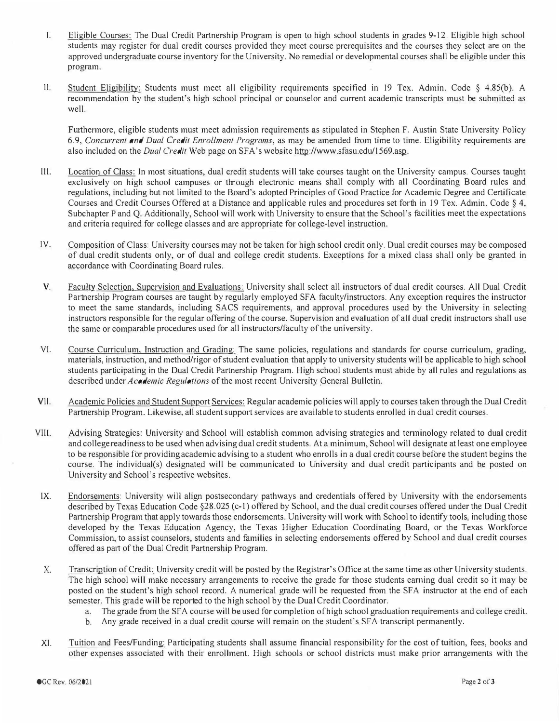- I. Eligible Courses: The Dual Credit Partnership Program is open to high school students in grades 9-12. Eligible high school students may register f*o*r dual credit courses provided they meet course prerequisites and the courses they select are on the approved undergraduate course inventory *fo*r the University. No remedial or developmental courses shall be eligible under this program.
- 11. Student Eligibility: Students must meet all eligibility requirements specified in 19 Tex. Admin. Code § 4.85(b). A recommendation by the student's high school principal or counselor and current academic transcripts must be submitted as well.

Furthermore, eligible students must meet admission requirements as stipulated in Stephen F. Austin State University Policy 6 .9*, Concurrent and Dual Credit Enrollment Programs,* as may be amended *fr*om time to time. Eligibility requirements are also included on the *Dual Credit* Web page on SFA's website http://www.s*f*asu.edu/1569.asp.

- III. Location of Class: In most situations, dual credit st*u*dents will take courses taught on the University campus. Courses taught exclusively on high school campuses or th*r*ough electronic means shall comply with all Coordinating *B*oard rules and regulations*,* including but not limited to the Board's adopted Principles of Good Practice *fo*r Academic Degree and Certi*f*icate Courses and Credit Courses Offered at a Distance and applicable rules and procedures set forth in 19 Tex. Admin. Code § 4, Subchapter P and Q. Additionally, School will work with University to ensure that the School's facilities meet the expectations and criteria required *fo*r college classes and are appro*p*riate f*o*r college-level instruction.
- IV. Composition of Class: *U*niversity courses may not be taken *fo*r high school credit only. Dual credit courses may be composed of dual credit students only, or of dual and college credit students. Exceptions *fo*r a mixed class shall only be granted in accordance with Coordinating Board rules.
- V. Faculty Selection, Supervision and Evaluations: University shall select all ins*t*ructors of dual credit courses. All Dual Credit Partnership Program courses are taught by regularly employed SFA faculty/instructors. Any exception requires the instructor to meet the same standards*,* including SACS requirements*,* and approval procedures used by the *U*niversity in selecting instructors responsible *fo*r the regular o*f*fering of the course. Supervision and evaluation of all dual credit instructors shall use the same or comparable procedures used *fo*r all ins*t*ructors/*f*aculty of the university.
- VI. Course Curriculum, Instruction and Grading: The same policies*,* regulations and standards *fo*r course curriculum*,* grading*,*  materials*,* ins*t*ruction, and method/rigor of student evaluation that apply to university students will be applicable to high school students par*t*icipating in the Dual Credit Partnership Program. *H*igh school students must abide by all rules and regulations as described under *Academic Regulations* of the most recent University General Bulletin.
- Vll. Academic Policies and Student Suppor*t* Services: *R*egular academic policies will apply to courses taken through the Dual Credit Par*t*nership Program. Likewise, all student support services are available to s*t*udents enrolled in dual credit courses*.*
- VIII. Advising Strategies: University and School will establish common advising s*t*rategies and tenninology related to dual credit and college readiness to be used when advising dual credit students. At a minimum, School will designate at least one employee to be responsible *fo*r providing academic advising to a student who enrolls in a dual credit co*u*rse be*fo*re the student begins the course. The individual(s) designated will be communicated to *U*niversity and dual credit participants and be posted on University and School's respective websites.
- IX. Endorsements: University will align postsecondary pathways and credentials o*f*fered by University with the endorsements described by Texas Education Code §28.025 ( c-I) offered by School*,* and the dual credit courses o*f*fered under the Dual Credit Partnership Program that apply towards those endorsements. *U*niversity will work with School to identify tools*,* including those developed by the Texas Education Agency, the Texas Higher Education Coordinating *B*oard*,* or the Texas Work*fo*rce Commission*,* to assist counselors, students and families in selecting endorsements o*f*fered by School and dual credit courses offered as part of the Dual Credit Partnership Program.
- X. Transcription of Credit: University credit will be posted by the *R*egistrar's Office at the same time as other University students. The high school will make necessary arrangements to receive the grade f*o*r those students earning dual credit so it may be posted on the student's high school record. A numerical grade will be requested from the SFA instructor at the end of each semester. This g<sup>r</sup> ade will be repor*t*ed to the high school by the Dual Credit Coordinator.
	- a. The grade from t*h*e SFA course will be used for completion of high school graduation requirements and college credit.
	- b. Any grade received in a dual credit course will remain on the student's SFA transcript per*m*anently.
- XI. Tuition and Fees/Funding: Par*t*icipating students shall assume *f*inancial responsibility *fo*r the cost of *t*uition, *f*ees*,* books and other expenses associated with their enrollment. High schools or school districts must make prior arrangements with the